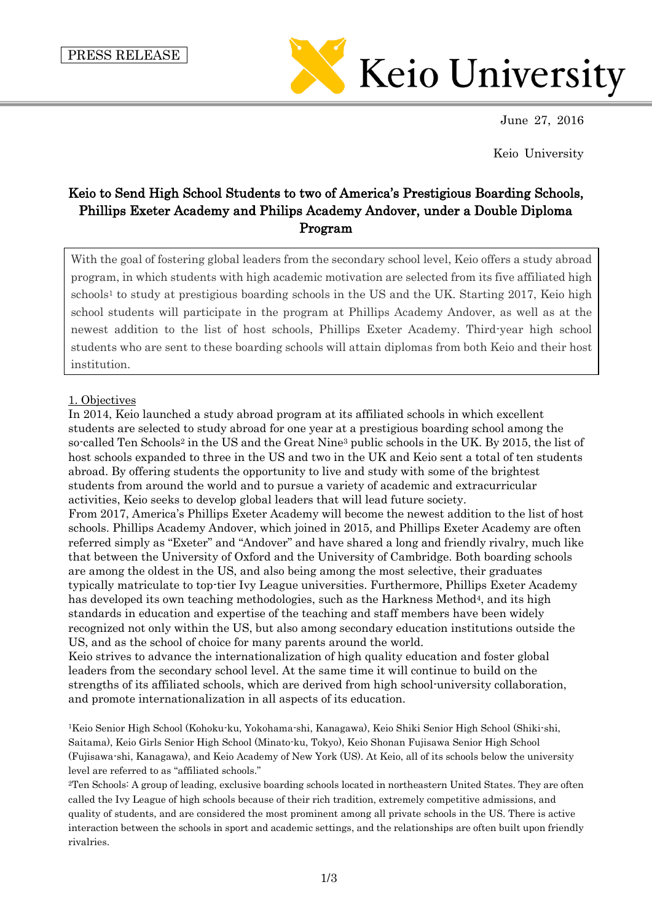

June 27, 2016

Keio University

# Keio to Send High School Students to two of America's Prestigious Boarding Schools, Phillips Exeter Academy and Philips Academy Andover, under a Double Diploma Program

With the goal of fostering global leaders from the secondary school level, Keio offers a study abroad program, in which students with high academic motivation are selected from its five affiliated high  $schools<sup>1</sup>$  to study at prestigious boarding schools in the US and the UK. Starting 2017, Keio high school students will participate in the program at Phillips Academy Andover, as well as at the newest addition to the list of host schools, Phillips Exeter Academy. Third-year high school students who are sent to these boarding schools will attain diplomas from both Keio and their host institution.

# 1. Objectives

In 2014, Keio launched a study abroad program at its affiliated schools in which excellent students are selected to study abroad for one year at a prestigious boarding school among the so-called Ten Schools<sup>2</sup> in the US and the Great Nine<sup>3</sup> public schools in the UK. By 2015, the list of host schools expanded to three in the US and two in the UK and Keio sent a total of ten students abroad. By offering students the opportunity to live and study with some of the brightest students from around the world and to pursue a variety of academic and extracurricular activities, Keio seeks to develop global leaders that will lead future society.

From 2017, America's Phillips Exeter Academy will become the newest addition to the list of host schools. Phillips Academy Andover, which joined in 2015, and Phillips Exeter Academy are often referred simply as "Exeter" and "Andover" and have shared a long and friendly rivalry, much like that between the University of Oxford and the University of Cambridge. Both boarding schools are among the oldest in the US, and also being among the most selective, their graduates typically matriculate to top-tier Ivy League universities. Furthermore, Phillips Exeter Academy has developed its own teaching methodologies, such as the Harkness Method<sup>4</sup>, and its high standards in education and expertise of the teaching and staff members have been widely recognized not only within the US, but also among secondary education institutions outside the US, and as the school of choice for many parents around the world.

Keio strives to advance the internationalization of high quality education and foster global leaders from the secondary school level. At the same time it will continue to build on the strengths of its affiliated schools, which are derived from high school-university collaboration, and promote internationalization in all aspects of its education.

<sup>1</sup>Keio Senior High School (Kohoku-ku, Yokohama-shi, Kanagawa), Keio Shiki Senior High School (Shiki-shi, Saitama), Keio Girls Senior High School (Minato-ku, Tokyo), Keio Shonan Fujisawa Senior High School (Fujisawa-shi, Kanagawa), and Keio Academy of New York (US). At Keio, all of its schools below the university level are referred to as "affiliated schools."

<sup>2</sup>Ten Schools: A group of leading, exclusive boarding schools located in northeastern United States. They are often called the Ivy League of high schools because of their rich tradition, extremely competitive admissions, and quality of students, and are considered the most prominent among all private schools in the US. There is active interaction between the schools in sport and academic settings, and the relationships are often built upon friendly rivalries.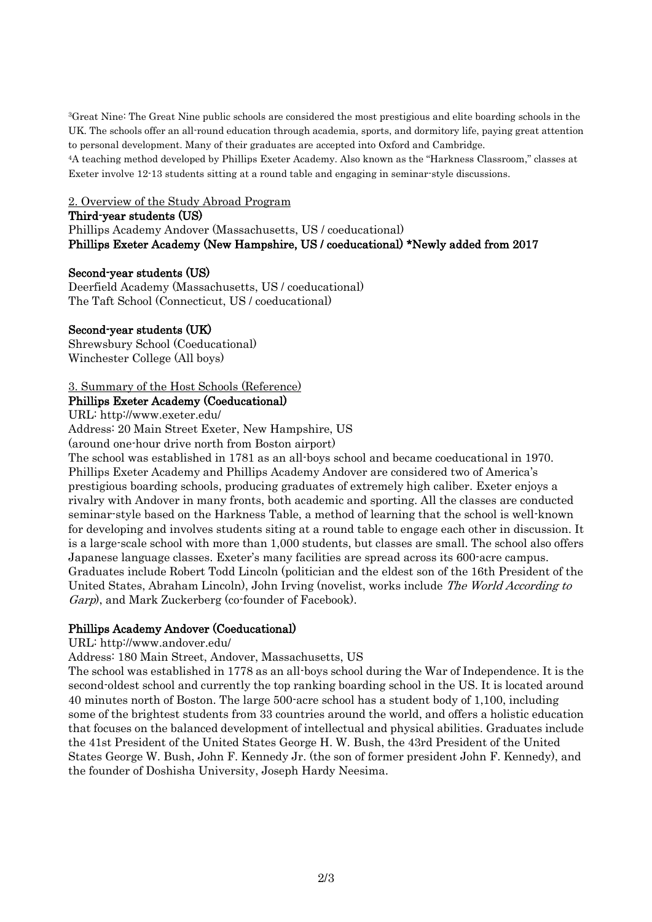<sup>3</sup>Great Nine: The Great Nine public schools are considered the most prestigious and elite boarding schools in the UK. The schools offer an all-round education through academia, sports, and dormitory life, paying great attention to personal development. Many of their graduates are accepted into Oxford and Cambridge.

<sup>4</sup>A teaching method developed by Phillips Exeter Academy. Also known as the "Harkness Classroom," classes at Exeter involve 12-13 students sitting at a round table and engaging in seminar-style discussions.

2. Overview of the Study Abroad Program

#### Third-year students (US)

Phillips Academy Andover (Massachusetts, US / coeducational) Phillips Exeter Academy (New Hampshire, US / coeducational) \*Newly added from 2017

#### Second-year students (US)

Deerfield Academy (Massachusetts, US / coeducational) The Taft School (Connecticut, US / coeducational)

# Second-year students (UK)

Shrewsbury School (Coeducational) Winchester College (All boys)

# 3. Summary of the Host Schools (Reference)

#### Phillips Exeter Academy (Coeducational)

URL: http://www.exeter.edu/

Address: 20 Main Street Exeter, New Hampshire, US

(around one-hour drive north from Boston airport)

The school was established in 1781 as an all-boys school and became coeducational in 1970. Phillips Exeter Academy and Phillips Academy Andover are considered two of America's prestigious boarding schools, producing graduates of extremely high caliber. Exeter enjoys a rivalry with Andover in many fronts, both academic and sporting. All the classes are conducted seminar-style based on the Harkness Table, a method of learning that the school is well-known for developing and involves students siting at a round table to engage each other in discussion. It is a large-scale school with more than 1,000 students, but classes are small. The school also offers Japanese language classes. Exeter's many facilities are spread across its 600-acre campus. Graduates include Robert Todd Lincoln (politician and the eldest son of the 16th President of the United States, Abraham Lincoln), John Irving (novelist, works include *The World According to* Garp), and Mark Zuckerberg (co-founder of Facebook).

# Phillips Academy Andover (Coeducational)

URL: http://www.andover.edu/

Address: 180 Main Street, Andover, Massachusetts, US

The school was established in 1778 as an all-boys school during the War of Independence. It is the second-oldest school and currently the top ranking boarding school in the US. It is located around 40 minutes north of Boston. The large 500-acre school has a student body of 1,100, including some of the brightest students from 33 countries around the world, and offers a holistic education that focuses on the balanced development of intellectual and physical abilities. Graduates include the 41st President of the United States George H. W. Bush, the 43rd President of the United States George W. Bush, John F. Kennedy Jr. (the son of former president John F. Kennedy), and the founder of Doshisha University, Joseph Hardy Neesima.